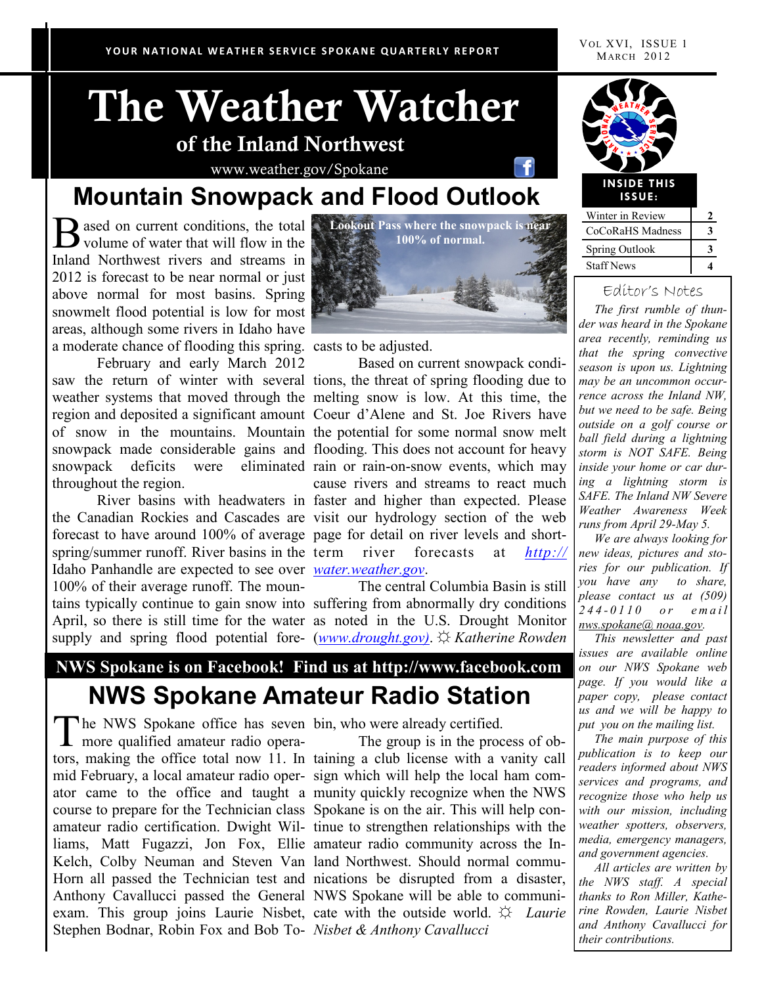# **The Weather Watcher of the Inland Northwest**

www.weather.gov/Spokane

## **Mountain Snowpack and Flood Outlook**

volume of water that will flow in the Inland Northwest rivers and streams in 2012 is forecast to be near normal or just above normal for most basins. Spring snowmelt flood potential is low for most areas, although some rivers in Idaho have a moderate chance of flooding this spring. casts to be adjusted.

February and early March 2012 throughout the region.

forecast to have around 100% of average page for detail on river levels and shortspring/summer runoff. River basins in the term Idaho Panhandle are expected to see over *water.weather.gov*. 100% of their average runoff. The moun-



saw the return of winter with several tions, the threat of spring flooding due to weather systems that moved through the melting snow is low. At this time, the region and deposited a significant amount Coeur d'Alene and St. Joe Rivers have of snow in the mountains. Mountain the potential for some normal snow melt snowpack made considerable gains and flooding. This does not account for heavy snowpack deficits were eliminated rain or rain-on-snow events, which may River basins with headwaters in faster and higher than expected. Please the Canadian Rockies and Cascades are visit our hydrology section of the web Based on current snowpack condicause rivers and streams to react much river forecasts at *http://* 

tains typically continue to gain snow into suffering from abnormally dry conditions April, so there is still time for the water as noted in the U.S. Drought Monitor supply and spring flood potential fore-(*www.drought.gov)*. ☼ *Katherine Rowden*  The central Columbia Basin is still

### **NWS Spokane is on Facebook! Find us at http://www.facebook.com NWS Spokane Amateur Radio Station**

The NWS Spokane office has seven<br>more qualified amateur radio operamore qualified amateur radio operators, making the office total now 11. In taining a club license with a vanity call mid February, a local amateur radio oper-sign which will help the local ham comator came to the office and taught a munity quickly recognize when the NWS course to prepare for the Technician class Spokane is on the air. This will help conamateur radio certification. Dwight Wil-tinue to strengthen relationships with the liams, Matt Fugazzi, Jon Fox, Ellie amateur radio community across the In-Kelch, Colby Neuman and Steven Van land Northwest. Should normal commu-Horn all passed the Technician test and nications be disrupted from a disaster, Anthony Cavallucci passed the General NWS Spokane will be able to communiexam. This group joins Laurie Nisbet, cate with the outside world.  $\hat{\varphi}$  *Laurie* Stephen Bodnar, Robin Fox and Bob To-*Nisbet & Anthony Cavallucci*  The NWS Spokane office has seven bin, who were already certified.

The group is in the process of ob-



| Winter in Review      |   |
|-----------------------|---|
| CoCoRaHS Madness      | 3 |
| <b>Spring Outlook</b> |   |
| <b>Staff News</b>     |   |

#### Editor's Notes

 *The first rumble of thunder was heard in the Spokane area recently, reminding us that the spring convective season is upon us. Lightning may be an uncommon occurrence across the Inland NW, but we need to be safe. Being outside on a golf course or ball field during a lightning storm is NOT SAFE. Being inside your home or car during a lightning storm is SAFE. The Inland NW Severe Weather Awareness Week runs from April 29-May 5.* 

 *We are always looking for new ideas, pictures and stories for our publication. If you have any to share, please contact us at (509) 244 - 0 1 1 0 o r e m a i l nws.spokane@ noaa.gov.*

 *This newsletter and past issues are available online on our NWS Spokane web page. If you would like a paper copy, please contact us and we will be happy to put you on the mailing list.* 

 *The main purpose of this publication is to keep our readers informed about NWS services and programs, and recognize those who help us with our mission, including weather spotters, observers, media, emergency managers, and government agencies.*

 *All articles are written by the NWS staff. A special thanks to Ron Miller, Katherine Rowden, Laurie Nisbet and Anthony Cavallucci for their contributions.*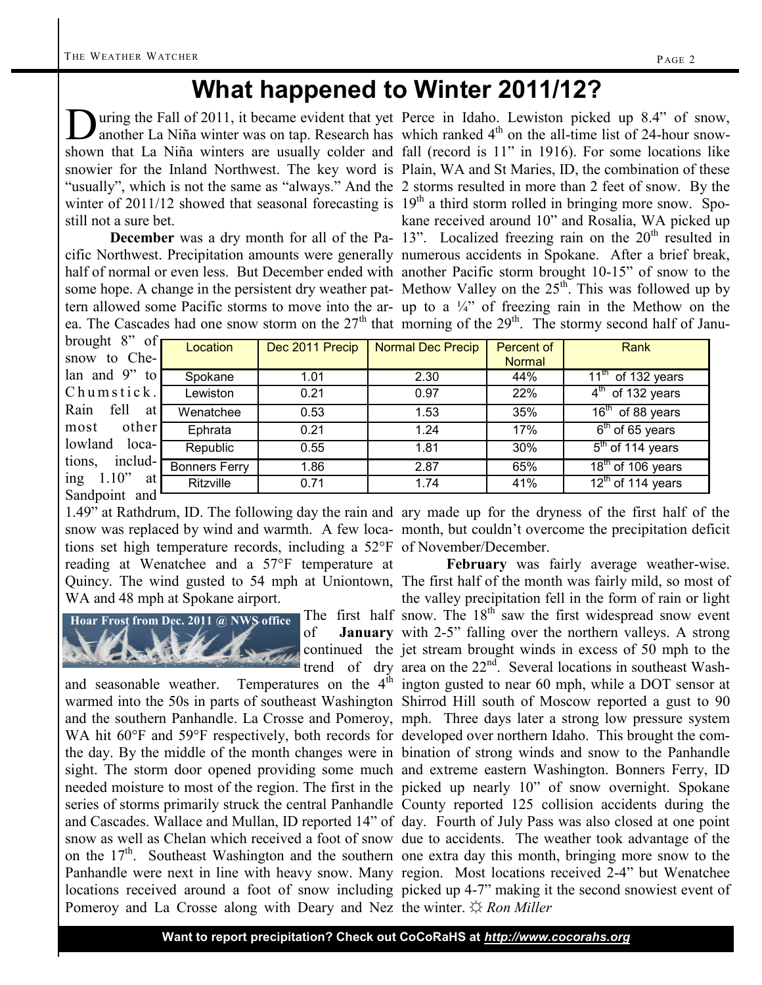# **What happened to Winter 2011/12?**

D uring the Fall of 2011, it became evident that yet Perce in Idaho. Lewiston picked up 8.4" of snow, still not a sure bet.

ea. The Cascades had one snow storm on the  $27<sup>th</sup>$  that morning of the  $29<sup>th</sup>$ . The stormy second half of Janu-

another La Niña winter was on tap. Research has which ranked  $4<sup>th</sup>$  on the all-time list of 24-hour snowshown that La Niña winters are usually colder and fall (record is 11" in 1916). For some locations like snowier for the Inland Northwest. The key word is Plain, WA and St Maries, ID, the combination of these "usually", which is not the same as "always." And the 2 storms resulted in more than 2 feet of snow. By the winter of 2011/12 showed that seasonal forecasting is 19<sup>th</sup> a third storm rolled in bringing more snow. Spo-**December** was a dry month for all of the Pa- 13". Localized freezing rain on the 20<sup>th</sup> resulted in cific Northwest. Precipitation amounts were generally numerous accidents in Spokane. After a brief break, half of normal or even less. But December ended with another Pacific storm brought 10-15" of snow to the some hope. A change in the persistent dry weather pat- Methow Valley on the  $25<sup>th</sup>$ . This was followed up by tern allowed some Pacific storms to move into the ar- up to a  $\frac{1}{4}$  of freezing rain in the Methow on the kane received around 10" and Rosalia, WA picked up

| brought $8$ " of     | Location             | Dec 2011 Precip | Normal Dec Precip | Percent of    | Rank                              |
|----------------------|----------------------|-----------------|-------------------|---------------|-----------------------------------|
| snow to Che-         |                      |                 |                   | <b>Normal</b> |                                   |
| lan and $9"$ to      | Spokane              | 1.01            | 2.30              | 44%           | $\overline{11^{th}}$ of 132 years |
| Chumstick.           | Lewiston             | 0.21            | 0.97              | 22%           | $4th$ of 132 years                |
| Rain<br>fell<br>at I | Wenatchee            | 0.53            | 1.53              | 35%           | 16 <sup>th</sup> of 88 years      |
| other<br>most        | Ephrata              | 0.21            | 1.24              | 17%           | $6th$ of 65 years                 |
| lowland<br>$local$ - | Republic             | 0.55            | 1.81              | 30%           | $5th$ of 114 years                |
| tions,<br>includ-    | <b>Bonners Ferry</b> | 1.86            | 2.87              | 65%           | 18 <sup>th</sup> of 106 years     |
| ing 1.10"<br>at      | <b>Ritzville</b>     | 0.71            | 1.74              | 41%           | $12th$ of 114 years               |
| Sandpoint and        |                      |                 |                   |               |                                   |

tions set high temperature records, including a 52°F of November/December. reading at Wenatchee and a 57°F temperature at Quincy. The wind gusted to 54 mph at Uniontown, The first half of the month was fairly mild, so most of WA and 48 mph at Spokane airport.



warmed into the 50s in parts of southeast Washington Shirrod Hill south of Moscow reported a gust to 90 and the southern Panhandle. La Crosse and Pomeroy, mph. Three days later a strong low pressure system WA hit 60°F and 59°F respectively, both records for developed over northern Idaho. This brought the comthe day. By the middle of the month changes were in bination of strong winds and snow to the Panhandle sight. The storm door opened providing some much and extreme eastern Washington. Bonners Ferry, ID needed moisture to most of the region. The first in the picked up nearly 10" of snow overnight. Spokane series of storms primarily struck the central Panhandle County reported 125 collision accidents during the and Cascades. Wallace and Mullan, ID reported 14" of day. Fourth of July Pass was also closed at one point snow as well as Chelan which received a foot of snow due to accidents. The weather took advantage of the on the  $17<sup>th</sup>$ . Southeast Washington and the southern one extra day this month, bringing more snow to the Panhandle were next in line with heavy snow. Many region. Most locations received 2-4" but Wenatchee locations received around a foot of snow including picked up 4-7" making it the second snowiest event of Pomeroy and La Crosse along with Deary and Nez the winter. ☼ *Ron Miller*

1.49" at Rathdrum, ID. The following day the rain and ary made up for the dryness of the first half of the snow was replaced by wind and warmth. A few loca-month, but couldn't overcome the precipitation deficit

The first half snow. The  $18<sup>th</sup>$  saw the first widespread snow event of **January** with 2-5" falling over the northern valleys. A strong continued the jet stream brought winds in excess of 50 mph to the trend of dry area on the  $22<sup>nd</sup>$ . Several locations in southeast Washand seasonable weather. Temperatures on the  $4<sup>th</sup>$  ington gusted to near 60 mph, while a DOT sensor at **February** was fairly average weather-wise. the valley precipitation fell in the form of rain or light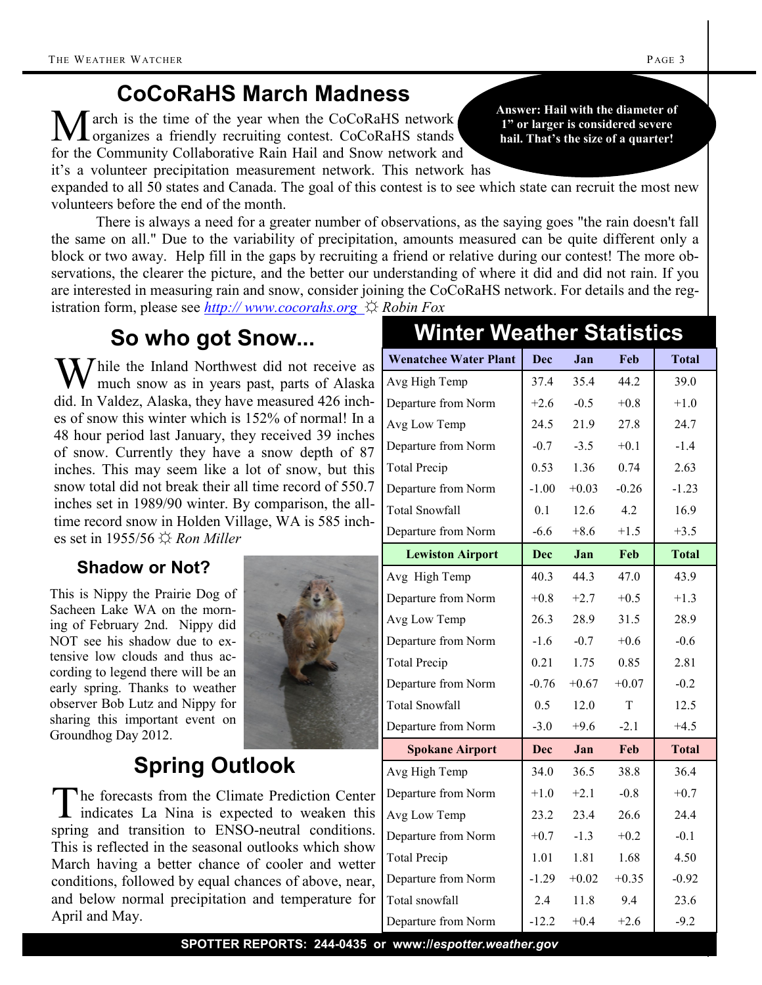# **CoCoRaHS March Madness**

March is the time of the year when the CoCoRaHS network organizes a friendly recruiting contest. CoCoRaHS stands for the Community Collaborative Rain Hail and Snow network and it's a volunteer precipitation measurement network. This network has

expanded to all 50 states and Canada. The goal of this contest is to see which state can recruit the most new volunteers before the end of the month.

There is always a need for a greater number of observations, as the saying goes "the rain doesn't fall the same on all." Due to the variability of precipitation, amounts measured can be quite different only a block or two away. Help fill in the gaps by recruiting a friend or relative during our contest! The more observations, the clearer the picture, and the better our understanding of where it did and did not rain. If you are interested in measuring rain and snow, consider joining the CoCoRaHS network. For details and the registration form, please see *http:// www.cocorahs.org ☼ Robin Fox*

### **So who got Snow...**

 $\sum$  hile the Inland Northwest did not receive as much snow as in years past, parts of Alaska did. In Valdez, Alaska, they have measured 426 inches of snow this winter which is 152% of normal! In a 48 hour period last January, they received 39 inches of snow. Currently they have a snow depth of 87 inches. This may seem like a lot of snow, but this snow total did not break their all time record of 550.7 inches set in 1989/90 winter. By comparison, the alltime record snow in Holden Village, WA is 585 inches set in 1955/56 ☼ *Ron Miller*

#### **Shadow or Not?**

This is Nippy the Prairie Dog of Sacheen Lake WA on the morning of February 2nd. Nippy did NOT see his shadow due to extensive low clouds and thus according to legend there will be an early spring. Thanks to weather observer Bob Lutz and Nippy for sharing this important event on Groundhog Day 2012.



# **Spring Outlook**

The forecasts from the Climate Prediction Center<br>indicates La Nina is expected to weaken this he forecasts from the Climate Prediction spring and transition to ENSO-neutral conditions. This is reflected in the seasonal outlooks wh March having a better chance of cooler and conditions, followed by equal chances of abo and below normal precipitation and temperature for  $\alpha$ April and May.

### **Wenatchee Water Plant Dec Jan Feb Total** Avg High Temp 37.4 35.4 44.2 39.0 Departure from Norm  $+2.6 -0.5 +0.8 +1.0$ Avg Low Temp 24.5 21.9 27.8 24.7 Departure from Norm  $\begin{vmatrix} -0.7 & -3.5 & +0.1 \end{vmatrix}$  -1.4 Total Precip 1.53 1.36 0.74 2.63 Departure from Norm  $-1.00 +0.03 -0.26$   $-1.23$ Total Snowfall 10.1 12.6 4.2 16.9 Departure from Norm  $-6.6 +8.6 +1.5 +3.5$ **Lewiston Airport Dec Jan Feb Total** Avg High Temp  $\begin{array}{|c|c|c|c|c|} \hline 40.3 & 44.3 & 47.0 & 43.9 \hline \end{array}$ Departure from Norm  $+0.8 +2.7 +0.5 +1.3$ Avg Low Temp 26.3 28.9 31.5 28.9 Departure from Norm  $-1.6 -0.7 +0.6$  -0.6 Total Precip 1.75 0.85 2.81 Departure from Norm  $-0.76 +0.67 +0.07$  -0.2 Total Snowfall 0.5 12.0 T 12.5 Departure from Norm  $\begin{array}{|l} \hline -3.0 \quad +9.6 \quad -2.1 \quad +4.5 \end{array}$ **Spokane Airport Dec Jan Feb Total** Avg High Temp 34.0 36.5 38.8 36.4 Departure from Norm  $+1.0 +2.1 -0.8 +0.7$ Avg Low Temp 23.2 23.4 26.6 24.4 Departure from Norm  $+0.7 -1.3 +0.2$  -0.1 Total Precip 1.01 1.81 1.68 4.50 Departure from Norm  $\vert$  -1.29 +0.02 +0.35  $\vert$  -0.92 Total snowfall 2.4 11.8 9.4 23.6 **Winter Weather Statistics**

**Answer: Hail with the diameter of 1" or larger is considered severe hail. That's the size of a quarter!** 

|                        | <b>Spokane Airport</b> | Dec     | Jan     | Feb     | Tota    |
|------------------------|------------------------|---------|---------|---------|---------|
|                        | Avg High Temp          | 34.0    | 36.5    | 38.8    | 36.4    |
| on Center<br>aken this | Departure from Norm    | $+1.0$  | $+2.1$  | $-0.8$  | $+0.7$  |
|                        | Avg Low Temp           | 23.2    | 23.4    | 26.6    | 24.4    |
| onditions.<br>ich show | Departure from Norm    | $+0.7$  | $-1.3$  | $+0.2$  | $-0.1$  |
| nd wetter              | <b>Total Precip</b>    | 1.01    | 1.81    | 1.68    | 4.50    |
| ove, near,             | Departure from Norm    | $-1.29$ | $+0.02$ | $+0.35$ | $-0.92$ |
| ature for              | Total snowfall         | 2.4     | 11.8    | 9.4     | 23.6    |
|                        | Departure from Norm    | $-12.2$ | $+0.4$  | $+2.6$  | $-9.2$  |
|                        |                        |         |         |         |         |